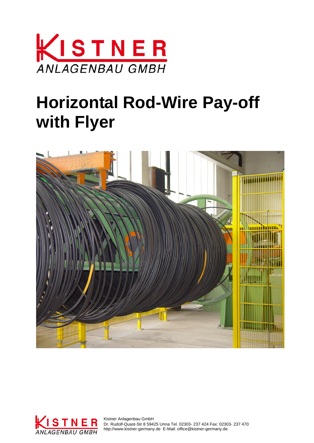

## **Horizontal Rod-Wire Pay-off with Flyer**





 Dr. Rudolf-Quast-Str 8 59425 Unna Tel. 02303- 237 424 Fax: 02303- 237 470 http://www.kistner-germany.de E-Mail: office@kistner-germany.de